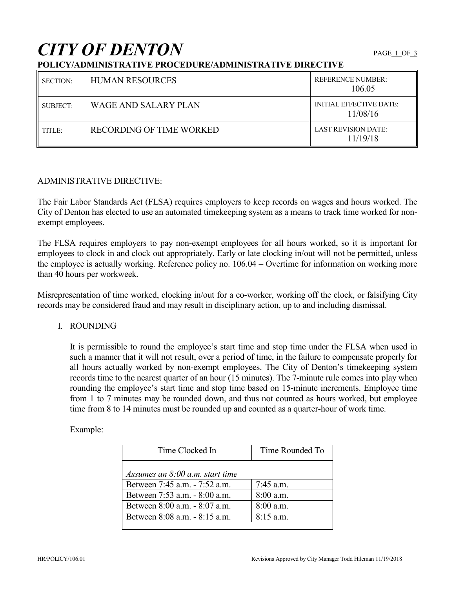# **CITY OF DENTON**

## **POLICY/ADMINISTRATIVE PROCEDURE/ADMINISTRATIVE DIRECTIVE**

| <b>SECTION:</b> | <b>HUMAN RESOURCES</b>   | <b>REFERENCE NUMBER:</b><br>106.05         |
|-----------------|--------------------------|--------------------------------------------|
| SUBJECT:        | WAGE AND SALARY PLAN     | <b>INITIAL EFFECTIVE DATE:</b><br>11/08/16 |
| TITLE:          | RECORDING OF TIME WORKED | LAST REVISION DATE:<br>11/19/18            |

#### ADMINISTRATIVE DIRECTIVE:

The Fair Labor Standards Act (FLSA) requires employers to keep records on wages and hours worked. The City of Denton has elected to use an automated timekeeping system as a means to track time worked for nonexempt employees.

The FLSA requires employers to pay non-exempt employees for all hours worked, so it is important for employees to clock in and clock out appropriately. Early or late clocking in/out will not be permitted, unless the employee is actually working. Reference policy no. 106.04 – Overtime for information on working more than 40 hours per workweek.

Misrepresentation of time worked, clocking in/out for a co-worker, working off the clock, or falsifying City records may be considered fraud and may result in disciplinary action, up to and including dismissal.

#### I. ROUNDING

It is permissible to round the employee's start time and stop time under the FLSA when used in such a manner that it will not result, over a period of time, in the failure to compensate properly for all hours actually worked by non-exempt employees. The City of Denton's timekeeping system records time to the nearest quarter of an hour (15 minutes). The 7-minute rule comes into play when rounding the employee's start time and stop time based on 15-minute increments. Employee time from 1 to 7 minutes may be rounded down, and thus not counted as hours worked, but employee time from 8 to 14 minutes must be rounded up and counted as a quarter-hour of work time.

| Time Clocked In                   | Time Rounded To |
|-----------------------------------|-----------------|
| Assumes an $8:00$ a.m. start time |                 |
| Between 7:45 a.m. - 7:52 a.m.     | 7:45 a.m.       |
| Between 7:53 a.m. - 8:00 a.m.     | 8:00 a.m.       |
| Between 8:00 a.m. - 8:07 a.m.     | $8:00$ a.m.     |
| Between 8:08 a.m. - 8:15 a.m.     | $8:15$ a.m.     |
|                                   |                 |

Example: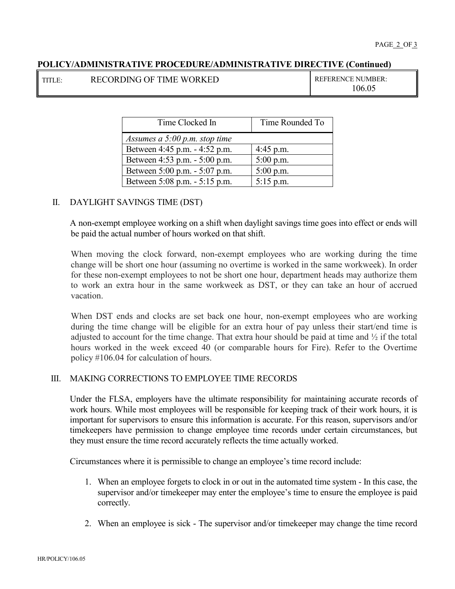#### **POLICY/ADMINISTRATIVE PROCEDURE/ADMINISTRATIVE DIRECTIVE (Continued)**

| TITLE: | <b>RECORDING OF TIME WO</b> |  |
|--------|-----------------------------|--|
|        |                             |  |

THE TIME OF TIME REFERENCE NUMBER: 106.05

| Time Clocked In                 | Time Rounded To |
|---------------------------------|-----------------|
| Assumes a $5:00$ p.m. stop time |                 |
| Between 4:45 p.m. - 4:52 p.m.   | $4:45$ p.m.     |
| Between 4:53 p.m. - 5:00 p.m.   | $5:00$ p.m.     |
| Between 5:00 p.m. - 5:07 p.m.   | $5:00$ p.m.     |
| Between 5:08 p.m. - 5:15 p.m.   | $5:15$ p.m.     |

#### II. DAYLIGHT SAVINGS TIME (DST)

A non-exempt employee working on a shift when daylight savings time goes into effect or ends will be paid the actual number of hours worked on that shift.

When moving the clock forward, non-exempt employees who are working during the time change will be short one hour (assuming no overtime is worked in the same workweek). In order for these non-exempt employees to not be short one hour, department heads may authorize them to work an extra hour in the same workweek as DST, or they can take an hour of accrued vacation.

When DST ends and clocks are set back one hour, non-exempt employees who are working during the time change will be eligible for an extra hour of pay unless their start/end time is adjusted to account for the time change. That extra hour should be paid at time and  $\frac{1}{2}$  if the total hours worked in the week exceed 40 (or comparable hours for Fire). Refer to the Overtime policy #106.04 for calculation of hours.

#### III. MAKING CORRECTIONS TO EMPLOYEE TIME RECORDS

Under the FLSA, employers have the ultimate responsibility for maintaining accurate records of work hours. While most employees will be responsible for keeping track of their work hours, it is important for supervisors to ensure this information is accurate. For this reason, supervisors and/or timekeepers have permission to change employee time records under certain circumstances, but they must ensure the time record accurately reflects the time actually worked.

Circumstances where it is permissible to change an employee's time record include:

- 1. When an employee forgets to clock in or out in the automated time system In this case, the supervisor and/or timekeeper may enter the employee's time to ensure the employee is paid correctly.
- 2. When an employee is sick The supervisor and/or timekeeper may change the time record